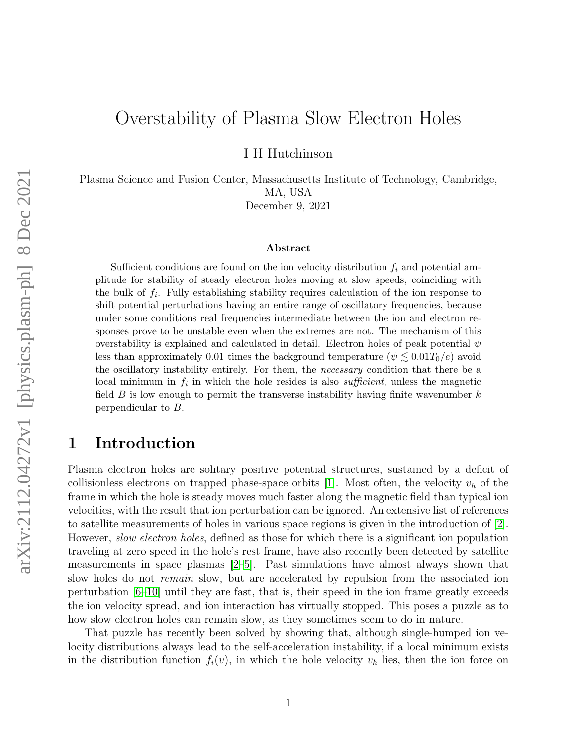# Overstability of Plasma Slow Electron Holes

I H Hutchinson

Plasma Science and Fusion Center, Massachusetts Institute of Technology, Cambridge, MA, USA

December 9, 2021

#### Abstract

Sufficient conditions are found on the ion velocity distribution  $f_i$  and potential amplitude for stability of steady electron holes moving at slow speeds, coinciding with the bulk of  $f_i$ . Fully establishing stability requires calculation of the ion response to shift potential perturbations having an entire range of oscillatory frequencies, because under some conditions real frequencies intermediate between the ion and electron responses prove to be unstable even when the extremes are not. The mechanism of this overstability is explained and calculated in detail. Electron holes of peak potential  $\psi$ less than approximately 0.01 times the background temperature ( $\psi \lesssim 0.01T_0/e$ ) avoid the oscillatory instability entirely. For them, the *necessary* condition that there be a local minimum in  $f_i$  in which the hole resides is also *sufficient*, unless the magnetic field  $B$  is low enough to permit the transverse instability having finite wavenumber  $k$ perpendicular to B.

### 1 Introduction

Plasma electron holes are solitary positive potential structures, sustained by a deficit of collisionless electrons on trapped phase-space orbits [\[1\]](#page-16-0). Most often, the velocity  $v_h$  of the frame in which the hole is steady moves much faster along the magnetic field than typical ion velocities, with the result that ion perturbation can be ignored. An extensive list of references to satellite measurements of holes in various space regions is given in the introduction of [\[2\]](#page-16-1). However, *slow electron holes*, defined as those for which there is a significant ion population traveling at zero speed in the hole's rest frame, have also recently been detected by satellite measurements in space plasmas [\[2](#page-16-1)[–5\]](#page-17-0). Past simulations have almost always shown that slow holes do not *remain* slow, but are accelerated by repulsion from the associated ion perturbation  $[6–10]$  $[6–10]$  until they are fast, that is, their speed in the ion frame greatly exceeds the ion velocity spread, and ion interaction has virtually stopped. This poses a puzzle as to how slow electron holes can remain slow, as they sometimes seem to do in nature.

That puzzle has recently been solved by showing that, although single-humped ion velocity distributions always lead to the self-acceleration instability, if a local minimum exists in the distribution function  $f_i(v)$ , in which the hole velocity  $v_h$  lies, then the ion force on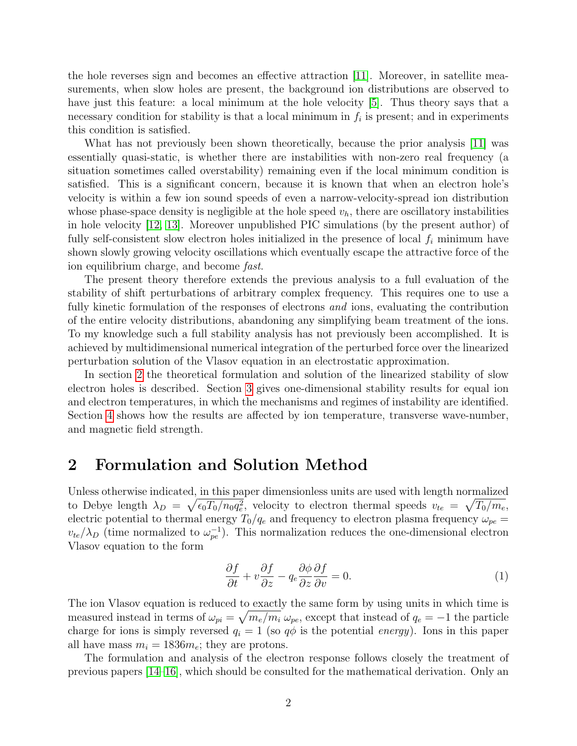the hole reverses sign and becomes an effective attraction [\[11\]](#page-17-3). Moreover, in satellite measurements, when slow holes are present, the background ion distributions are observed to have just this feature: a local minimum at the hole velocity [\[5\]](#page-17-0). Thus theory says that a necessary condition for stability is that a local minimum in  $f_i$  is present; and in experiments this condition is satisfied.

What has not previously been shown theoretically, because the prior analysis [\[11\]](#page-17-3) was essentially quasi-static, is whether there are instabilities with non-zero real frequency (a situation sometimes called overstability) remaining even if the local minimum condition is satisfied. This is a significant concern, because it is known that when an electron hole's velocity is within a few ion sound speeds of even a narrow-velocity-spread ion distribution whose phase-space density is negligible at the hole speed  $v<sub>h</sub>$ , there are oscillatory instabilities in hole velocity [\[12,](#page-17-4) [13\]](#page-17-5). Moreover unpublished PIC simulations (by the present author) of fully self-consistent slow electron holes initialized in the presence of local  $f_i$  minimum have shown slowly growing velocity oscillations which eventually escape the attractive force of the ion equilibrium charge, and become fast.

The present theory therefore extends the previous analysis to a full evaluation of the stability of shift perturbations of arbitrary complex frequency. This requires one to use a fully kinetic formulation of the responses of electrons *and* ions, evaluating the contribution of the entire velocity distributions, abandoning any simplifying beam treatment of the ions. To my knowledge such a full stability analysis has not previously been accomplished. It is achieved by multidimensional numerical integration of the perturbed force over the linearized perturbation solution of the Vlasov equation in an electrostatic approximation.

In section [2](#page-1-0) the theoretical formulation and solution of the linearized stability of slow electron holes is described. Section [3](#page-7-0) gives one-dimensional stability results for equal ion and electron temperatures, in which the mechanisms and regimes of instability are identified. Section [4](#page-10-0) shows how the results are affected by ion temperature, transverse wave-number, and magnetic field strength.

### <span id="page-1-0"></span>2 Formulation and Solution Method

Unless otherwise indicated, in this paper dimensionless units are used with length normalized to Debye length  $\lambda_D = \sqrt{\epsilon_0 T_0/n_0 q_e^2}$ , velocity to electron thermal speeds  $v_{te} = \sqrt{T_0/m_e}$ , electric potential to thermal energy  $T_0/q_e$  and frequency to electron plasma frequency  $\omega_{pe}$  $v_{te}/\lambda_D$  (time normalized to  $\omega_{pe}^{-1}$ ). This normalization reduces the one-dimensional electron Vlasov equation to the form

$$
\frac{\partial f}{\partial t} + v \frac{\partial f}{\partial z} - q_e \frac{\partial \phi}{\partial z} \frac{\partial f}{\partial v} = 0.
$$
\n(1)

The ion Vlasov equation is reduced to exactly the same form by using units in which time is measured instead in terms of  $\omega_{pi} = \sqrt{m_e/m_i} \omega_{pe}$ , except that instead of  $q_e = -1$  the particle charge for ions is simply reversed  $q_i = 1$  (so  $q\phi$  is the potential *energy*). Ions in this paper all have mass  $m_i = 1836m_e$ ; they are protons.

The formulation and analysis of the electron response follows closely the treatment of previous papers [\[14](#page-17-6)[–16\]](#page-18-0), which should be consulted for the mathematical derivation. Only an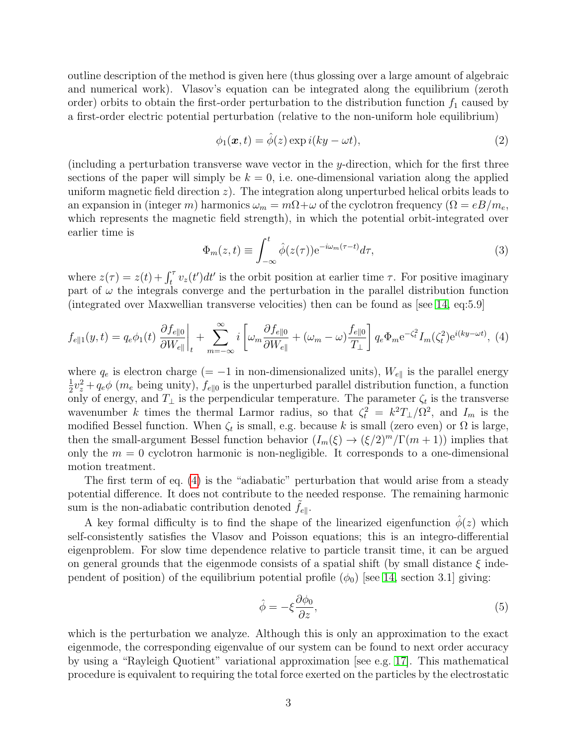outline description of the method is given here (thus glossing over a large amount of algebraic and numerical work). Vlasov's equation can be integrated along the equilibrium (zeroth order) orbits to obtain the first-order perturbation to the distribution function  $f_1$  caused by a first-order electric potential perturbation (relative to the non-uniform hole equilibrium)

<span id="page-2-2"></span>
$$
\phi_1(\mathbf{x},t) = \hat{\phi}(z) \exp i(ky - \omega t), \qquad (2)
$$

(including a perturbation transverse wave vector in the y-direction, which for the first three sections of the paper will simply be  $k = 0$ , i.e. one-dimensional variation along the applied uniform magnetic field direction  $z$ ). The integration along unperturbed helical orbits leads to an expansion in (integer m) harmonics  $\omega_m = m\Omega + \omega$  of the cyclotron frequency  $(\Omega = eB/m_e,$ which represents the magnetic field strength), in which the potential orbit-integrated over earlier time is

<span id="page-2-3"></span>
$$
\Phi_m(z,t) \equiv \int_{-\infty}^t \hat{\phi}(z(\tau)) e^{-i\omega_m(\tau-t)} d\tau,\tag{3}
$$

where  $z(\tau) = z(t) + \int_t^{\tau} v_z(t')dt'$  is the orbit position at earlier time  $\tau$ . For positive imaginary part of  $\omega$  the integrals converge and the perturbation in the parallel distribution function (integrated over Maxwellian transverse velocities) then can be found as [see [14,](#page-17-6) eq:5.9]

<span id="page-2-0"></span>
$$
f_{e\parallel 1}(y,t) = q_e \phi_1(t) \left. \frac{\partial f_{e\parallel 0}}{\partial W_{e\parallel}} \right|_t + \sum_{m=-\infty}^{\infty} i \left[ \omega_m \frac{\partial f_{e\parallel 0}}{\partial W_{e\parallel}} + (\omega_m - \omega) \frac{f_{e\parallel 0}}{T_{\perp}} \right] q_e \Phi_m e^{-\zeta_t^2} I_m(\zeta_t^2) e^{i(ky - \omega t)}, \tag{4}
$$

where  $q_e$  is electron charge (= -1 in non-dimensionalized units),  $W_{e\parallel}$  is the parallel energy 1  $\frac{1}{2}v_z^2 + q_e\phi$  ( $m_e$  being unity),  $f_{e||0}$  is the unperturbed parallel distribution function, a function only of energy, and  $T_{\perp}$  is the perpendicular temperature. The parameter  $\zeta_t$  is the transverse wavenumber k times the thermal Larmor radius, so that  $\zeta_t^2 = k^2 T_{\perp}/\Omega^2$ , and  $I_m$  is the modified Bessel function. When  $\zeta_t$  is small, e.g. because k is small (zero even) or  $\Omega$  is large, then the small-argument Bessel function behavior  $(I_m(\xi) \to (\xi/2)^m/\Gamma(m+1))$  implies that only the  $m = 0$  cyclotron harmonic is non-negligible. It corresponds to a one-dimensional motion treatment.

The first term of eq. [\(4\)](#page-2-0) is the "adiabatic" perturbation that would arise from a steady potential difference. It does not contribute to the needed response. The remaining harmonic sum is the non-adiabatic contribution denoted  $f_{e\parallel}$ .

A key formal difficulty is to find the shape of the linearized eigenfunction  $\phi(z)$  which self-consistently satisfies the Vlasov and Poisson equations; this is an integro-differential eigenproblem. For slow time dependence relative to particle transit time, it can be argued on general grounds that the eigenmode consists of a spatial shift (by small distance  $\xi$  independent of position) of the equilibrium potential profile  $(\phi_0)$  [see [14,](#page-17-6) section 3.1] giving:

<span id="page-2-1"></span>
$$
\hat{\phi} = -\xi \frac{\partial \phi_0}{\partial z},\tag{5}
$$

which is the perturbation we analyze. Although this is only an approximation to the exact eigenmode, the corresponding eigenvalue of our system can be found to next order accuracy by using a "Rayleigh Quotient" variational approximation [see e.g. [17\]](#page-18-1). This mathematical procedure is equivalent to requiring the total force exerted on the particles by the electrostatic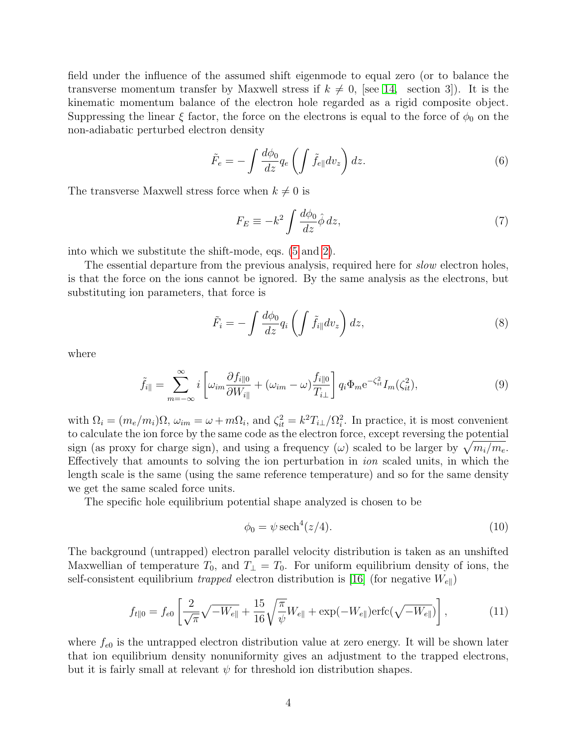field under the influence of the assumed shift eigenmode to equal zero (or to balance the transverse momentum transfer by Maxwell stress if  $k \neq 0$ , [see [14,](#page-17-6) section 3]). It is the kinematic momentum balance of the electron hole regarded as a rigid composite object. Suppressing the linear  $\xi$  factor, the force on the electrons is equal to the force of  $\phi_0$  on the non-adiabatic perturbed electron density

<span id="page-3-0"></span>
$$
\tilde{F}_e = -\int \frac{d\phi_0}{dz} q_e \left( \int \tilde{f}_{e\parallel} dv_z \right) dz.
$$
\n(6)

The transverse Maxwell stress force when  $k \neq 0$  is

<span id="page-3-4"></span>
$$
F_E \equiv -k^2 \int \frac{d\phi_0}{dz} \hat{\phi} \, dz,\tag{7}
$$

into which we substitute the shift-mode, eqs. [\(5](#page-2-1) and [2\)](#page-2-2).

The essential departure from the previous analysis, required here for *slow* electron holes. is that the force on the ions cannot be ignored. By the same analysis as the electrons, but substituting ion parameters, that force is

<span id="page-3-1"></span>
$$
\tilde{F}_i = -\int \frac{d\phi_0}{dz} q_i \left( \int \tilde{f}_{i\parallel} dv_z \right) dz, \tag{8}
$$

where

<span id="page-3-3"></span>
$$
\tilde{f}_{i\parallel} = \sum_{m=-\infty}^{\infty} i \left[ \omega_{im} \frac{\partial f_{i\parallel 0}}{\partial W_{i\parallel}} + (\omega_{im} - \omega) \frac{f_{i\parallel 0}}{T_{i\perp}} \right] q_i \Phi_m e^{-\zeta_{it}^2} I_m(\zeta_{it}^2), \tag{9}
$$

with  $\Omega_i = (m_e/m_i)\Omega$ ,  $\omega_{im} = \omega + m\Omega_i$ , and  $\zeta_{it}^2 = k^2 T_{i\perp}/\Omega_i^2$ . In practice, it is most convenient to calculate the ion force by the same code as the electron force, except reversing the potential sign (as proxy for charge sign), and using a frequency ( $\omega$ ) scaled to be larger by  $\sqrt{m_i/m_e}$ . Effectively that amounts to solving the ion perturbation in ion scaled units, in which the length scale is the same (using the same reference temperature) and so for the same density we get the same scaled force units.

The specific hole equilibrium potential shape analyzed is chosen to be

$$
\phi_0 = \psi \operatorname{sech}^4(z/4). \tag{10}
$$

The background (untrapped) electron parallel velocity distribution is taken as an unshifted Maxwellian of temperature  $T_0$ , and  $T_1 = T_0$ . For uniform equilibrium density of ions, the self-consistent equilibrium trapped electron distribution is [\[16\]](#page-18-0) (for negative  $W_{e\parallel}$ )

<span id="page-3-2"></span>
$$
f_{t\parallel 0} = f_{e0} \left[ \frac{2}{\sqrt{\pi}} \sqrt{-W_{e\parallel}} + \frac{15}{16} \sqrt{\frac{\pi}{\psi}} W_{e\parallel} + \exp(-W_{e\parallel}) \text{erfc}(\sqrt{-W_{e\parallel}}) \right],\tag{11}
$$

where  $f_{e0}$  is the untrapped electron distribution value at zero energy. It will be shown later that ion equilibrium density nonuniformity gives an adjustment to the trapped electrons, but it is fairly small at relevant  $\psi$  for threshold ion distribution shapes.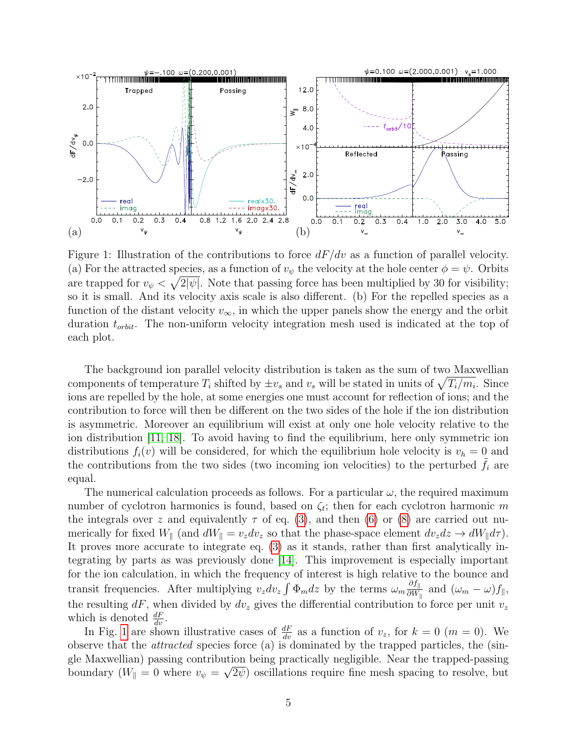

<span id="page-4-0"></span>Figure 1: Illustration of the contributions to force  $dF/dv$  as a function of parallel velocity. (a) For the attracted species, as a function of  $v_{\psi}$  the velocity at the hole center  $\phi = \psi$ . Orbits are trapped for  $v_{\psi} < \sqrt{2|\psi|}$ . Note that passing force has been multiplied by 30 for visibility; so it is small. And its velocity axis scale is also different. (b) For the repelled species as a function of the distant velocity  $v_{\infty}$ , in which the upper panels show the energy and the orbit duration  $t_{orbit}$ . The non-uniform velocity integration mesh used is indicated at the top of each plot.

The background ion parallel velocity distribution is taken as the sum of two Maxwellian components of temperature  $T_i$  shifted by  $\pm v_s$  and  $v_s$  will be stated in units of  $\sqrt{T_i/m_i}$ . Since ions are repelled by the hole, at some energies one must account for reflection of ions; and the contribution to force will then be different on the two sides of the hole if the ion distribution is asymmetric. Moreover an equilibrium will exist at only one hole velocity relative to the ion distribution [\[11,](#page-17-3) [18\]](#page-18-2). To avoid having to find the equilibrium, here only symmetric ion distributions  $f_i(v)$  will be considered, for which the equilibrium hole velocity is  $v_h = 0$  and the contributions from the two sides (two incoming ion velocities) to the perturbed  $f_i$  are equal.

The numerical calculation proceeds as follows. For a particular  $\omega$ , the required maximum number of cyclotron harmonics is found, based on  $\zeta_t$ ; then for each cyclotron harmonic m the integrals over z and equivalently  $\tau$  of eq. [\(3\)](#page-2-3), and then [\(6\)](#page-3-0) or [\(8\)](#page-3-1) are carried out numerically for fixed  $W_{\parallel}$  (and  $dW_{\parallel} = v_z dv_z$  so that the phase-space element  $dv_z dz \rightarrow dW_{\parallel} d\tau$ ). It proves more accurate to integrate eq. [\(3\)](#page-2-3) as it stands, rather than first analytically integrating by parts as was previously done [\[14\]](#page-17-6). This improvement is especially important for the ion calculation, in which the frequency of interest is high relative to the bounce and transit frequencies. After multiplying  $v_z dv_z \int \Phi_m dz$  by the terms  $\omega_m \frac{\partial f_{\parallel}}{\partial W}$  $\frac{\partial f_{\parallel}}{\partial W_{\parallel}}$  and  $(\omega_m - \omega) f_{\parallel},$ the resulting dF, when divided by  $dv_z$  gives the differential contribution to force per unit  $v_z$ which is denoted  $\frac{dF}{dv}$ .

In Fig. [1](#page-4-0) are shown illustrative cases of  $\frac{dF}{dv}$  as a function of  $v_z$ , for  $k = 0$  ( $m = 0$ ). We observe that the attracted species force (a) is dominated by the trapped particles, the (single Maxwellian) passing contribution being practically negligible. Near the trapped-passing boundary ( $W_{\parallel} = 0$  where  $v_{\psi} = \sqrt{2\psi}$ ) oscillations require fine mesh spacing to resolve, but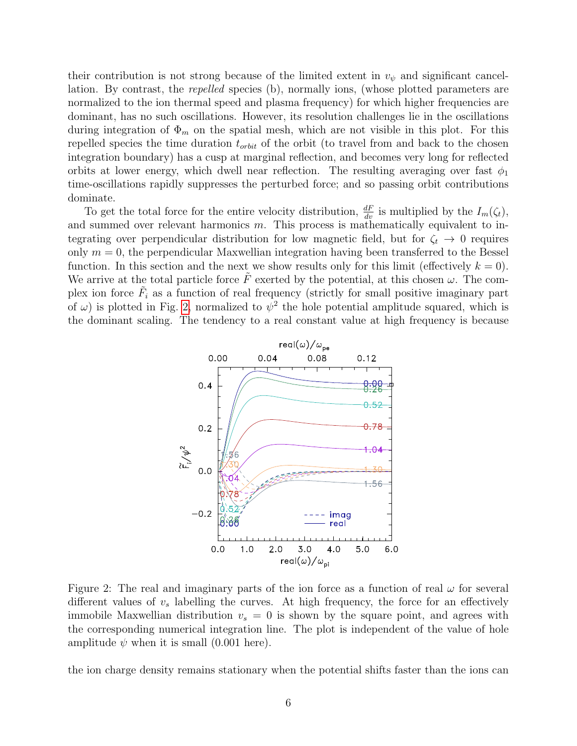their contribution is not strong because of the limited extent in  $v_{\psi}$  and significant cancellation. By contrast, the repelled species (b), normally ions, (whose plotted parameters are normalized to the ion thermal speed and plasma frequency) for which higher frequencies are dominant, has no such oscillations. However, its resolution challenges lie in the oscillations during integration of  $\Phi_m$  on the spatial mesh, which are not visible in this plot. For this repelled species the time duration  $t_{orbit}$  of the orbit (to travel from and back to the chosen integration boundary) has a cusp at marginal reflection, and becomes very long for reflected orbits at lower energy, which dwell near reflection. The resulting averaging over fast  $\phi_1$ time-oscillations rapidly suppresses the perturbed force; and so passing orbit contributions dominate.

To get the total force for the entire velocity distribution,  $\frac{dF}{dv}$  is multiplied by the  $I_m(\zeta_t)$ , and summed over relevant harmonics  $m$ . This process is mathematically equivalent to integrating over perpendicular distribution for low magnetic field, but for  $\zeta_t \to 0$  requires only  $m = 0$ , the perpendicular Maxwellian integration having been transferred to the Bessel function. In this section and the next we show results only for this limit (effectively  $k = 0$ ). We arrive at the total particle force  $\tilde{F}$  exerted by the potential, at this chosen  $\omega$ . The complex ion force  $\tilde{F}_i$  as a function of real frequency (strictly for small positive imaginary part of  $\omega$ ) is plotted in Fig. [2,](#page-5-0) normalized to  $\psi^2$  the hole potential amplitude squared, which is the dominant scaling. The tendency to a real constant value at high frequency is because



<span id="page-5-0"></span>Figure 2: The real and imaginary parts of the ion force as a function of real  $\omega$  for several different values of  $v_s$  labelling the curves. At high frequency, the force for an effectively immobile Maxwellian distribution  $v_s = 0$  is shown by the square point, and agrees with the corresponding numerical integration line. The plot is independent of the value of hole amplitude  $\psi$  when it is small (0.001 here).

the ion charge density remains stationary when the potential shifts faster than the ions can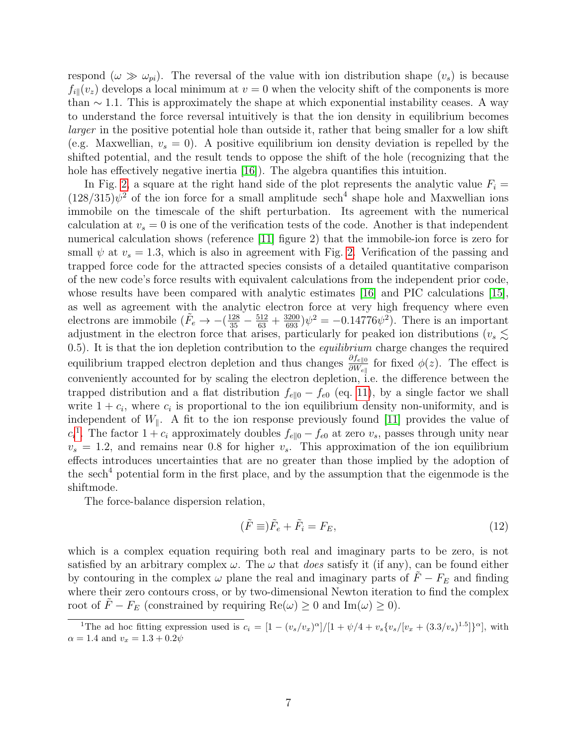respond  $(\omega \gg \omega_{pi})$ . The reversal of the value with ion distribution shape  $(v_s)$  is because  $f_{i\parallel}(v_z)$  develops a local minimum at  $v = 0$  when the velocity shift of the components is more than  $\sim$  1.1. This is approximately the shape at which exponential instability ceases. A way to understand the force reversal intuitively is that the ion density in equilibrium becomes larger in the positive potential hole than outside it, rather that being smaller for a low shift (e.g. Maxwellian,  $v_s = 0$ ). A positive equilibrium ion density deviation is repelled by the shifted potential, and the result tends to oppose the shift of the hole (recognizing that the hole has effectively negative inertia [\[16\]](#page-18-0)). The algebra quantifies this intuition.

In Fig. [2,](#page-5-0) a square at the right hand side of the plot represents the analytic value  $F_i =$  $(128/315)\psi^2$  of the ion force for a small amplitude sech<sup>4</sup> shape hole and Maxwellian ions immobile on the timescale of the shift perturbation. Its agreement with the numerical calculation at  $v_s = 0$  is one of the verification tests of the code. Another is that independent numerical calculation shows (reference [\[11\]](#page-17-3) figure 2) that the immobile-ion force is zero for small  $\psi$  at  $v_s = 1.3$ , which is also in agreement with Fig. [2.](#page-5-0) Verification of the passing and trapped force code for the attracted species consists of a detailed quantitative comparison of the new code's force results with equivalent calculations from the independent prior code, whose results have been compared with analytic estimates [\[16\]](#page-18-0) and PIC calculations [\[15\]](#page-17-7), as well as agreement with the analytic electron force at very high frequency where even electrons are immobile  $(\tilde{F}_e \to -(\frac{128}{35} - \frac{512}{63} + \frac{3200}{693})\psi^2 = -0.14776\psi^2)$ . There is an important adjustment in the electron force that arises, particularly for peaked ion distributions ( $v_s \lesssim$ 0.5). It is that the ion depletion contribution to the *equilibrium* charge changes the required equilibrium trapped electron depletion and thus changes  $\frac{\partial f_{e\|0}}{\partial W_{e\|}}$  for fixed  $\phi(z)$ . The effect is conveniently accounted for by scaling the electron depletion, i.e. the difference between the trapped distribution and a flat distribution  $f_{e||0} - f_{e0}$  (eq. [11\)](#page-3-2), by a single factor we shall write  $1 + c_i$ , where  $c_i$  is proportional to the ion equilibrium density non-uniformity, and is independent of  $W_{\parallel}$ . A fit to the ion response previously found [\[11\]](#page-17-3) provides the value of  $c_i$ <sup>[1](#page-6-0)</sup>. The factor 1 +  $c_i$  approximately doubles  $f_{e||0} - f_{e0}$  at zero  $v_s$ , passes through unity near  $v_s = 1.2$ , and remains near 0.8 for higher  $v_s$ . This approximation of the ion equilibrium effects introduces uncertainties that are no greater than those implied by the adoption of the sech<sup>4</sup> potential form in the first place, and by the assumption that the eigenmode is the shiftmode.

The force-balance dispersion relation,

<span id="page-6-1"></span>
$$
(\tilde{F}\equiv)\tilde{F}_e + \tilde{F}_i = F_E,\tag{12}
$$

which is a complex equation requiring both real and imaginary parts to be zero, is not satisfied by an arbitrary complex  $\omega$ . The  $\omega$  that *does* satisfy it (if any), can be found either by contouring in the complex  $\omega$  plane the real and imaginary parts of  $\tilde{F} - F_E$  and finding where their zero contours cross, or by two-dimensional Newton iteration to find the complex root of  $\tilde{F} - F_E$  (constrained by requiring  $\text{Re}(\omega) \ge 0$  and  $\text{Im}(\omega) \ge 0$ ).

<span id="page-6-0"></span><sup>&</sup>lt;sup>1</sup>The ad hoc fitting expression used is  $c_i = \left[1 - \left(\frac{v_s}{v_x}\right)^{\alpha}\right] / \left[1 + \frac{\psi}{4} + \frac{v_s}{v_s}\left[\frac{v_x + (3.3/v_s)^{1.5}}{v_s}\right]\right]$ , with  $\alpha = 1.4$  and  $v_x = 1.3 + 0.2\psi$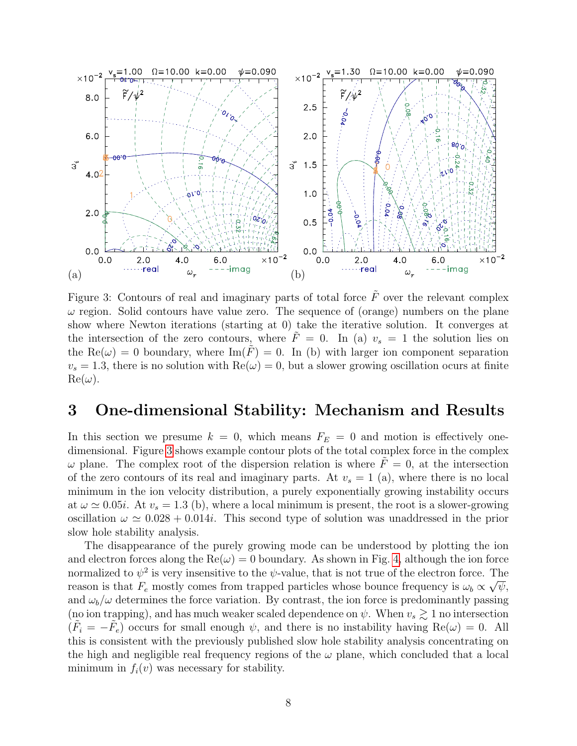

<span id="page-7-1"></span>Figure 3: Contours of real and imaginary parts of total force  $\tilde{F}$  over the relevant complex  $\omega$  region. Solid contours have value zero. The sequence of (orange) numbers on the plane show where Newton iterations (starting at 0) take the iterative solution. It converges at the intersection of the zero contours, where  $F = 0$ . In (a)  $v_s = 1$  the solution lies on the Re( $\omega$ ) = 0 boundary, where Im( $\tilde{F}$ ) = 0. In (b) with larger ion component separation  $v_s = 1.3$ , there is no solution with  $\text{Re}(\omega) = 0$ , but a slower growing oscillation ocurs at finite  $\text{Re}(\omega)$ .

### <span id="page-7-0"></span>3 One-dimensional Stability: Mechanism and Results

In this section we presume  $k = 0$ , which means  $F_E = 0$  and motion is effectively onedimensional. Figure [3](#page-7-1) shows example contour plots of the total complex force in the complex  $\omega$  plane. The complex root of the dispersion relation is where  $F = 0$ , at the intersection of the zero contours of its real and imaginary parts. At  $v_s = 1$  (a), where there is no local minimum in the ion velocity distribution, a purely exponentially growing instability occurs at  $\omega \simeq 0.05i$ . At  $v_s = 1.3$  (b), where a local minimum is present, the root is a slower-growing oscillation  $\omega \simeq 0.028 + 0.014i$ . This second type of solution was unaddressed in the prior slow hole stability analysis.

The disappearance of the purely growing mode can be understood by plotting the ion and electron forces along the  $\text{Re}(\omega) = 0$  boundary. As shown in Fig. [4,](#page-8-0) although the ion force normalized to  $\psi^2$  is very insensitive to the  $\psi$ -value, that is not true of the electron force. The reason is that  $F_e$  mostly comes from trapped particles whose bounce frequency is  $\omega_b \propto \sqrt{\psi}$ , and  $\omega_b/\omega$  determines the force variation. By contrast, the ion force is predominantly passing (no ion trapping), and has much weaker scaled dependence on  $\psi$ . When  $v_s \gtrsim 1$  no intersection  $(\tilde{F}_i = -\tilde{F}_e)$  occurs for small enough  $\psi$ , and there is no instability having  $\text{Re}(\omega) = 0$ . All this is consistent with the previously published slow hole stability analysis concentrating on the high and negligible real frequency regions of the  $\omega$  plane, which concluded that a local minimum in  $f_i(v)$  was necessary for stability.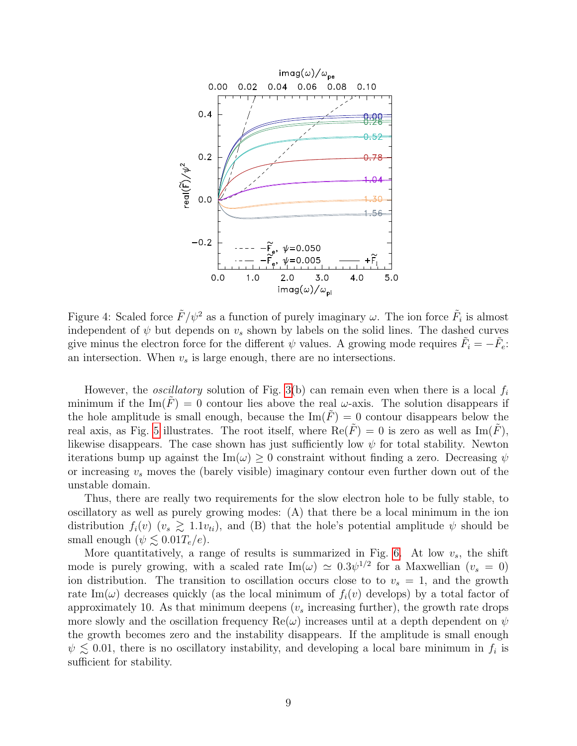

<span id="page-8-0"></span>Figure 4: Scaled force  $\tilde{F}/\psi^2$  as a function of purely imaginary  $\omega$ . The ion force  $\tilde{F}_i$  is almost independent of  $\psi$  but depends on  $v_s$  shown by labels on the solid lines. The dashed curves give minus the electron force for the different  $\psi$  values. A growing mode requires  $\tilde{F}_i = -\tilde{F}_e$ : an intersection. When  $v_s$  is large enough, there are no intersections.

However, the *oscillatory* solution of Fig. [3\(](#page-7-1)b) can remain even when there is a local  $f_i$ minimum if the Im(F) = 0 contour lies above the real  $\omega$ -axis. The solution disappears if the hole amplitude is small enough, because the  $\text{Im}(\overline{F}) = 0$  contour disappears below the real axis, as Fig. [5](#page-9-0) illustrates. The root itself, where  $\text{Re}(\tilde{F}) = 0$  is zero as well as  $\text{Im}(\tilde{F})$ , likewise disappears. The case shown has just sufficiently low  $\psi$  for total stability. Newton iterations bump up against the Im( $\omega$ )  $\geq$  0 constraint without finding a zero. Decreasing  $\psi$ or increasing  $v_s$  moves the (barely visible) imaginary contour even further down out of the unstable domain.

Thus, there are really two requirements for the slow electron hole to be fully stable, to oscillatory as well as purely growing modes: (A) that there be a local minimum in the ion distribution  $f_i(v)$   $(v_s \geq 1.1v_{ti})$ , and (B) that the hole's potential amplitude  $\psi$  should be small enough  $(\psi \lesssim 0.01T_e/e)$ .

More quantitatively, a range of results is summarized in Fig. [6.](#page-9-1) At low  $v_s$ , the shift mode is purely growing, with a scaled rate  $\text{Im}(\omega) \simeq 0.3 \psi^{1/2}$  for a Maxwellian  $(v_s = 0)$ ion distribution. The transition to oscillation occurs close to to  $v_s = 1$ , and the growth rate Im( $\omega$ ) decreases quickly (as the local minimum of  $f_i(v)$  develops) by a total factor of approximately 10. As that minimum deepens  $(v<sub>s</sub>$  increasing further), the growth rate drops more slowly and the oscillation frequency  $\text{Re}(\omega)$  increases until at a depth dependent on  $\psi$ the growth becomes zero and the instability disappears. If the amplitude is small enough  $\psi \lesssim 0.01$ , there is no oscillatory instability, and developing a local bare minimum in  $f_i$  is sufficient for stability.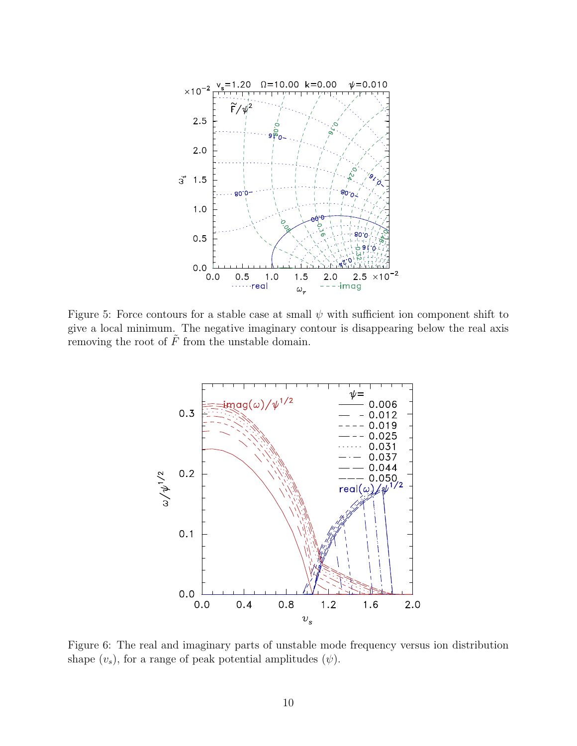

<span id="page-9-0"></span>Figure 5: Force contours for a stable case at small  $\psi$  with sufficient ion component shift to give a local minimum. The negative imaginary contour is disappearing below the real axis removing the root of  $\tilde{F}$  from the unstable domain.



<span id="page-9-1"></span>Figure 6: The real and imaginary parts of unstable mode frequency versus ion distribution shape  $(v_s)$ , for a range of peak potential amplitudes  $(\psi)$ .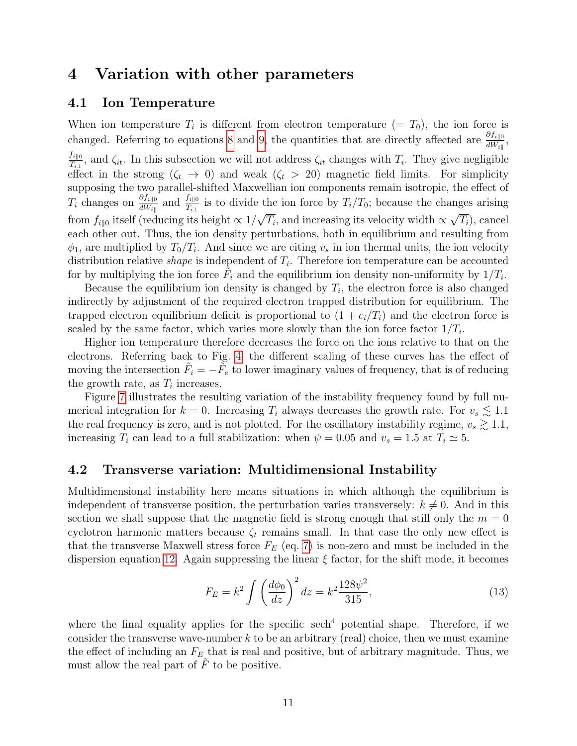### <span id="page-10-0"></span>4 Variation with other parameters

### 4.1 Ion Temperature

When ion temperature  $T_i$  is different from electron temperature  $(= T_0)$ , the ion force is changed. Referring to equations [8](#page-3-1) and [9,](#page-3-3) the quantities that are directly affected are  $\frac{\partial f_{i||0}}{\partial W_{i||}},$ 

 $f_{i\parallel 0}$  $T_{i\perp 0}$ , and  $\zeta_{it}$ . In this subsection we will not address  $\zeta_{it}$  changes with  $T_i$ . They give negligible effect in the strong  $(\zeta_t \to 0)$  and weak  $(\zeta_t > 20)$  magnetic field limits. For simplicity supposing the two parallel-shifted Maxwellian ion components remain isotropic, the effect of  $T_i$  changes on  $\frac{\partial f_{i\parallel 0}}{\partial W_{i\parallel}}$  and  $\frac{f_{i\parallel 0}}{T_{i\perp}}$  is to divide the ion force by  $T_i/T_0$ ; because the changes arising from  $f_{i||0}$  itself (reducing its height  $\propto 1/\sqrt{T_i}$ , and increasing its velocity width  $\propto \sqrt{T_i}$ ), cancel  $\sqrt{2}$  , i.e.  $\sqrt{2}$  ,  $\sqrt{2}$  ,  $\sqrt{2}$  ,  $\sqrt{2}$  ,  $\sqrt{2}$  ,  $\sqrt{2}$  ,  $\sqrt{2}$  ,  $\sqrt{2}$  ,  $\sqrt{2}$  ,  $\sqrt{2}$  ,  $\sqrt{2}$  ,  $\sqrt{2}$  ,  $\sqrt{2}$  ,  $\sqrt{2}$  ,  $\sqrt{2}$  ,  $\sqrt{2}$  ,  $\sqrt{2}$  ,  $\sqrt{2}$  ,  $\sqrt{2}$  ,  $\sqrt{2}$  ,  $\sqrt{2}$ each other out. Thus, the ion density perturbations, both in equilibrium and resulting from  $\phi_1$ , are multiplied by  $T_0/T_i$ . And since we are citing  $v_s$  in ion thermal units, the ion velocity distribution relative *shape* is independent of  $T_i$ . Therefore ion temperature can be accounted for by multiplying the ion force  $\tilde{F}_i$  and the equilibrium ion density non-uniformity by  $1/T_i$ .

Because the equilibrium ion density is changed by  $T_i$ , the electron force is also changed indirectly by adjustment of the required electron trapped distribution for equilibrium. The trapped electron equilibrium deficit is proportional to  $(1 + c_i/T_i)$  and the electron force is scaled by the same factor, which varies more slowly than the ion force factor  $1/T_i$ .

Higher ion temperature therefore decreases the force on the ions relative to that on the electrons. Referring back to Fig. [4,](#page-8-0) the different scaling of these curves has the effect of moving the intersection  $\tilde{F}_i = -\tilde{F}_e$  to lower imaginary values of frequency, that is of reducing the growth rate, as  $T_i$  increases.

Figure [7](#page-11-0) illustrates the resulting variation of the instability frequency found by full numerical integration for  $k = 0$ . Increasing  $T_i$  always decreases the growth rate. For  $v_s \lesssim 1.1$ the real frequency is zero, and is not plotted. For the oscillatory instability regime,  $v_s \gtrsim 1.1$ , increasing  $T_i$  can lead to a full stabilization: when  $\psi = 0.05$  and  $v_s = 1.5$  at  $T_i \approx 5$ .

#### 4.2 Transverse variation: Multidimensional Instability

Multidimensional instability here means situations in which although the equilibrium is independent of transverse position, the perturbation varies transversely:  $k \neq 0$ . And in this section we shall suppose that the magnetic field is strong enough that still only the  $m = 0$ cyclotron harmonic matters because  $\zeta_t$  remains small. In that case the only new effect is that the transverse Maxwell stress force  $F_E$  (eq. [7\)](#page-3-4) is non-zero and must be included in the dispersion equation [12.](#page-6-1) Again suppressing the linear  $\xi$  factor, for the shift mode, it becomes

<span id="page-10-1"></span>
$$
F_E = k^2 \int \left(\frac{d\phi_0}{dz}\right)^2 dz = k^2 \frac{128\psi^2}{315},\tag{13}
$$

where the final equality applies for the specific  $\operatorname{sech}^4$  potential shape. Therefore, if we consider the transverse wave-number  $k$  to be an arbitrary (real) choice, then we must examine the effect of including an  $F_E$  that is real and positive, but of arbitrary magnitude. Thus, we must allow the real part of  $\tilde{F}$  to be positive.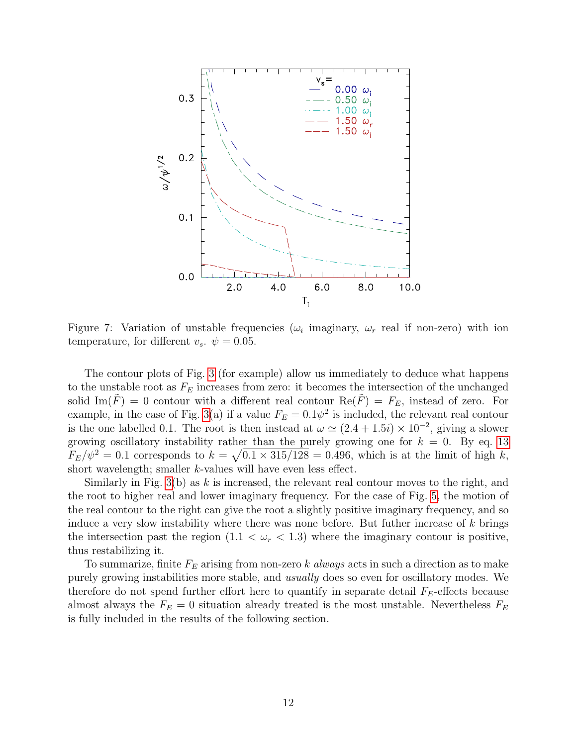

<span id="page-11-0"></span>Figure 7: Variation of unstable frequencies ( $\omega_i$  imaginary,  $\omega_r$  real if non-zero) with ion temperature, for different  $v_s$ .  $\psi = 0.05$ .

The contour plots of Fig. [3](#page-7-1) (for example) allow us immediately to deduce what happens to the unstable root as  $F_E$  increases from zero: it becomes the intersection of the unchanged solid Im( $\hat{F}$ ) = 0 contour with a different real contour Re( $\hat{F}$ ) =  $F_E$ , instead of zero. For example, in the case of Fig. [3\(](#page-7-1)a) if a value  $F_E = 0.1\psi^2$  is included, the relevant real contour is the one labelled 0.1. The root is then instead at  $\omega \simeq (2.4 + 1.5i) \times 10^{-2}$ , giving a slower growing oscillatory instability rather than the purely growing one for  $k = 0$ . By eq. [13](#page-10-1)  $F_E/\psi^2 = 0.1$  corresponds to  $k = \sqrt{0.1 \times 315/128} = 0.496$ , which is at the limit of high k, short wavelength; smaller k-values will have even less effect.

Similarly in Fig.  $3(b)$  as k is increased, the relevant real contour moves to the right, and the root to higher real and lower imaginary frequency. For the case of Fig. [5,](#page-9-0) the motion of the real contour to the right can give the root a slightly positive imaginary frequency, and so induce a very slow instability where there was none before. But futher increase of  $k$  brings the intersection past the region  $(1.1 < \omega_r < 1.3)$  where the imaginary contour is positive, thus restabilizing it.

To summarize, finite  $F_E$  arising from non-zero k always acts in such a direction as to make purely growing instabilities more stable, and usually does so even for oscillatory modes. We therefore do not spend further effort here to quantify in separate detail  $F_E$ -effects because almost always the  $F_E = 0$  situation already treated is the most unstable. Nevertheless  $F_E$ is fully included in the results of the following section.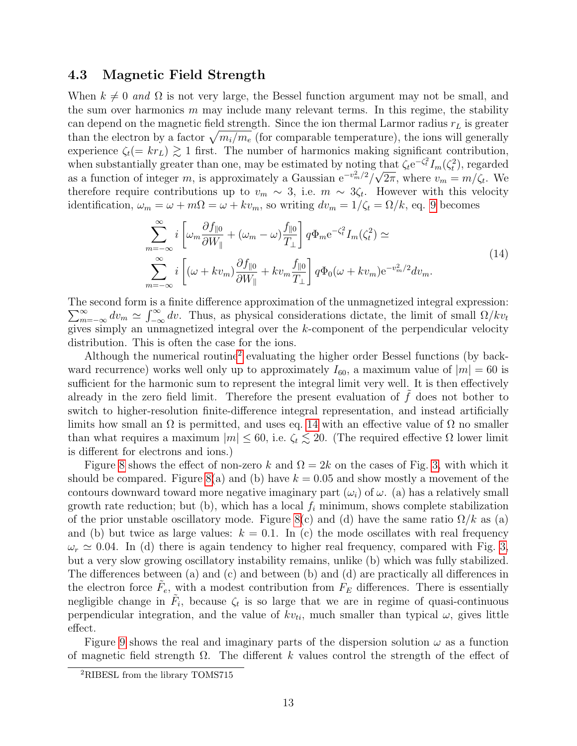### 4.3 Magnetic Field Strength

When  $k \neq 0$  and  $\Omega$  is not very large, the Bessel function argument may not be small, and the sum over harmonics  $m$  may include many relevant terms. In this regime, the stability can depend on the magnetic field strength. Since the ion thermal Larmor radius  $r<sub>L</sub>$  is greater than the electron by a factor  $\sqrt{m_i/m_e}$  (for comparable temperature), the ions will generally experience  $\zeta_t(= k r_L) \gtrsim 1$  first. The number of harmonics making significant contribution, when substantially greater than one, may be estimated by noting that  $\zeta_t e^{-\zeta_t^2} I_m(\zeta_t^2)$ , regarded as a function of integer m, is approximately a Gaussian  $e^{-v_m^2/2}/\sqrt{2\pi}$ , where  $v_m = m/\zeta_t$ . We therefore require contributions up to  $v_m \sim 3$ , i.e.  $m \sim 3\zeta_t$ . However with this velocity identification,  $\omega_m = \omega + m\Omega = \omega + kv_m$ , so writing  $dv_m = 1/\zeta_t = \Omega/k$ , eq. [9](#page-3-3) becomes

$$
\sum_{m=-\infty}^{\infty} i \left[ \omega_m \frac{\partial f_{\parallel 0}}{\partial W_{\parallel}} + (\omega_m - \omega) \frac{f_{\parallel 0}}{T_{\perp}} \right] q \Phi_m e^{-\zeta_t^2} I_m(\zeta_t^2) \simeq
$$
\n
$$
\sum_{m=-\infty}^{\infty} i \left[ (\omega + kv_m) \frac{\partial f_{\parallel 0}}{\partial W_{\parallel}} + kv_m \frac{f_{\parallel 0}}{T_{\perp}} \right] q \Phi_0 (\omega + kv_m) e^{-v_m^2/2} dv_m.
$$
\n(14)

<span id="page-12-1"></span>The second form is a finite difference approximation of the unmagnetized integral expression:  $\sum_{m=-\infty}^{\infty} dv_m \simeq \int_{-\infty}^{\infty} dv$ . Thus, as physical considerations dictate, the limit of small  $\Omega/kv_t$ gives simply an unmagnetized integral over the k-component of the perpendicular velocity distribution. This is often the case for the ions.

Although the numerical routine<sup>[2](#page-12-0)</sup> evaluating the higher order Bessel functions (by backward recurrence) works well only up to approximately  $I_{60}$ , a maximum value of  $|m| = 60$  is sufficient for the harmonic sum to represent the integral limit very well. It is then effectively already in the zero field limit. Therefore the present evaluation of  $f$  does not bother to switch to higher-resolution finite-difference integral representation, and instead artificially limits how small an  $\Omega$  is permitted, and uses eq. [14](#page-12-1) with an effective value of  $\Omega$  no smaller than what requires a maximum  $|m| \leq 60$ , i.e.  $\zeta_t \lesssim 20$ . (The required effective  $\Omega$  lower limit is different for electrons and ions.)

Figure [8](#page-13-0) shows the effect of non-zero k and  $\Omega = 2k$  on the cases of Fig. [3,](#page-7-1) with which it should be compared. Figure [8\(](#page-13-0)a) and (b) have  $k = 0.05$  and show mostly a movement of the contours downward toward more negative imaginary part  $(\omega_i)$  of  $\omega$ . (a) has a relatively small growth rate reduction; but (b), which has a local  $f_i$  minimum, shows complete stabilization of the prior unstable oscillatory mode. Figure [8\(](#page-13-0)c) and (d) have the same ratio  $\Omega/k$  as (a) and (b) but twice as large values:  $k = 0.1$ . In (c) the mode oscillates with real frequency  $\omega_r \simeq 0.04$ . In (d) there is again tendency to higher real frequency, compared with Fig. [3,](#page-7-1) but a very slow growing oscillatory instability remains, unlike (b) which was fully stabilized. The differences between (a) and (c) and between (b) and (d) are practically all differences in the electron force  $\tilde{F}_e$ , with a modest contribution from  $F_E$  differences. There is essentially negligible change in  $\tilde{F}_i$ , because  $\zeta_t$  is so large that we are in regime of quasi-continuous perpendicular integration, and the value of  $kv_{ti}$ , much smaller than typical  $\omega$ , gives little effect.

Figure [9](#page-14-0) shows the real and imaginary parts of the dispersion solution  $\omega$  as a function of magnetic field strength  $\Omega$ . The different k values control the strength of the effect of

<span id="page-12-0"></span><sup>2</sup>RIBESL from the library TOMS715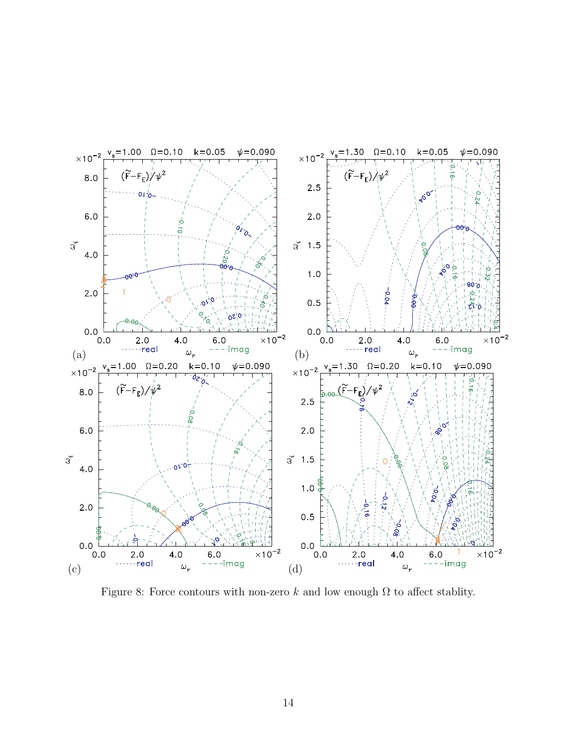

<span id="page-13-0"></span>Figure 8: Force contours with non-zero k and low enough  $\Omega$  to affect stablity.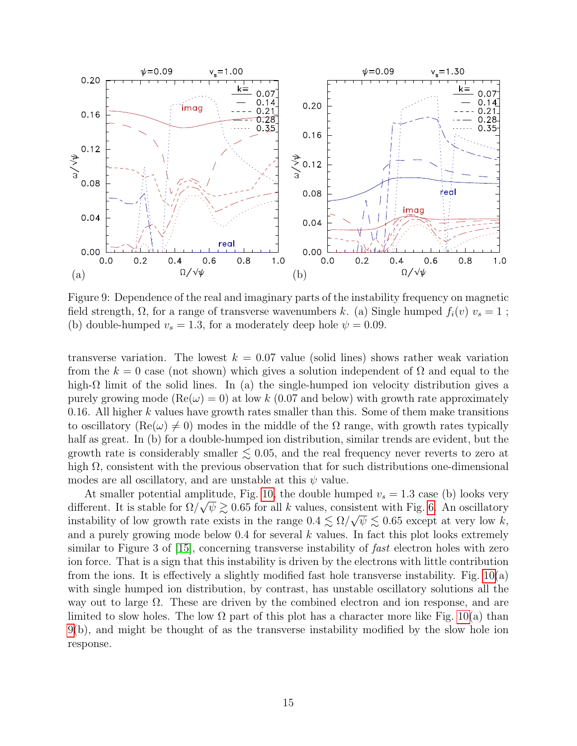

<span id="page-14-0"></span>Figure 9: Dependence of the real and imaginary parts of the instability frequency on magnetic field strength,  $\Omega$ , for a range of transverse wavenumbers k. (a) Single humped  $f_i(v)$   $v_s = 1$ ; (b) double-humped  $v_s = 1.3$ , for a moderately deep hole  $\psi = 0.09$ .

transverse variation. The lowest  $k = 0.07$  value (solid lines) shows rather weak variation from the  $k = 0$  case (not shown) which gives a solution independent of  $\Omega$  and equal to the high- $\Omega$  limit of the solid lines. In (a) the single-humped ion velocity distribution gives a purely growing mode  $(Re(\omega) = 0)$  at low k (0.07 and below) with growth rate approximately 0.16. All higher k values have growth rates smaller than this. Some of them make transitions to oscillatory (Re( $\omega$ )  $\neq$  0) modes in the middle of the  $\Omega$  range, with growth rates typically half as great. In (b) for a double-humped ion distribution, similar trends are evident, but the growth rate is considerably smaller  $\leq 0.05$ , and the real frequency never reverts to zero at high  $\Omega$ , consistent with the previous observation that for such distributions one-dimensional modes are all oscillatory, and are unstable at this  $\psi$  value.

At smaller potential amplitude, Fig. [10,](#page-15-0) the double humped  $v_s = 1.3$  case (b) looks very different. It is stable for  $\Omega/\sqrt{\psi} \gtrsim 0.65$  for all k values, consistent with Fig. [6.](#page-9-1) An oscillatory instability of low growth rate exists in the range  $0.4 \lesssim \Omega/\sqrt{\psi} \lesssim 0.65$  except at very low k, and a purely growing mode below  $0.4$  for several k values. In fact this plot looks extremely similar to Figure 3 of [\[15\]](#page-17-7), concerning transverse instability of *fast* electron holes with zero ion force. That is a sign that this instability is driven by the electrons with little contribution from the ions. It is effectively a slightly modified fast hole transverse instability. Fig. [10\(](#page-15-0)a) with single humped ion distribution, by contrast, has unstable oscillatory solutions all the way out to large Ω. These are driven by the combined electron and ion response, and are limited to slow holes. The low  $\Omega$  part of this plot has a character more like Fig. [10\(](#page-15-0)a) than [9\(](#page-14-0)b), and might be thought of as the transverse instability modified by the slow hole ion response.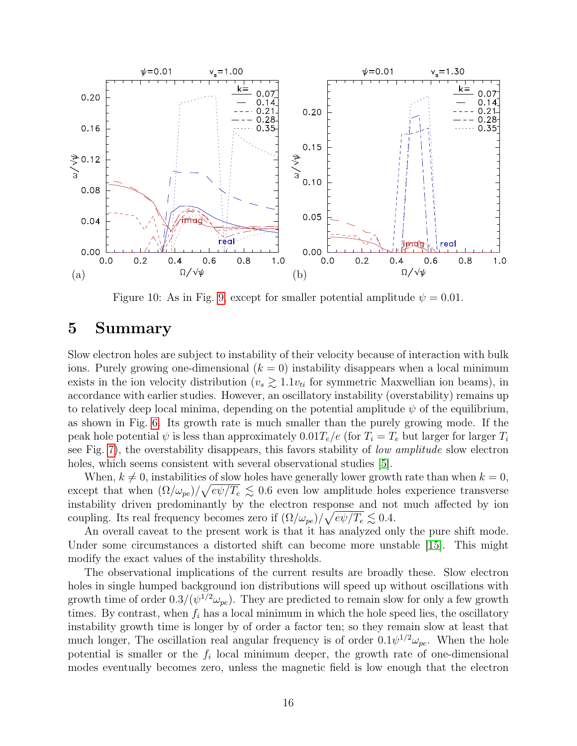

<span id="page-15-0"></span>Figure 10: As in Fig. [9,](#page-14-0) except for smaller potential amplitude  $\psi = 0.01$ .

## 5 Summary

Slow electron holes are subject to instability of their velocity because of interaction with bulk ions. Purely growing one-dimensional  $(k = 0)$  instability disappears when a local minimum exists in the ion velocity distribution ( $v_s \gtrsim 1.1v_{ti}$  for symmetric Maxwellian ion beams), in accordance with earlier studies. However, an oscillatory instability (overstability) remains up to relatively deep local minima, depending on the potential amplitude  $\psi$  of the equilibrium, as shown in Fig. [6.](#page-9-1) Its growth rate is much smaller than the purely growing mode. If the peak hole potential  $\psi$  is less than approximately  $0.01T_e/e$  (for  $T_i = T_e$  but larger for larger  $T_i$ see Fig. [7\)](#page-11-0), the overstability disappears, this favors stability of low amplitude slow electron holes, which seems consistent with several observational studies  $[5]$ .

When,  $k \neq 0$ , instabilities of slow holes have generally lower growth rate than when  $k = 0$ , except that when  $(\Omega/\omega_{pe})/\sqrt{e\psi/T_e} \lesssim 0.6$  even low amplitude holes experience transverse instability driven predominantly by the electron response and not much affected by ion coupling. Its real frequency becomes zero if  $(\Omega/\omega_{pe})/\sqrt{e\psi/T_e} \lesssim 0.4$ .

An overall caveat to the present work is that it has analyzed only the pure shift mode. Under some circumstances a distorted shift can become more unstable [\[15\]](#page-17-7). This might modify the exact values of the instability thresholds.

The observational implications of the current results are broadly these. Slow electron holes in single humped background ion distributions will speed up without oscillations with growth time of order  $0.3/(\psi^{1/2}\omega_{pe})$ . They are predicted to remain slow for only a few growth times. By contrast, when  $f_i$  has a local minimum in which the hole speed lies, the oscillatory instability growth time is longer by of order a factor ten; so they remain slow at least that much longer, The oscillation real angular frequency is of order  $0.1\psi^{1/2}\omega_{pe}$ . When the hole potential is smaller or the  $f_i$  local minimum deeper, the growth rate of one-dimensional modes eventually becomes zero, unless the magnetic field is low enough that the electron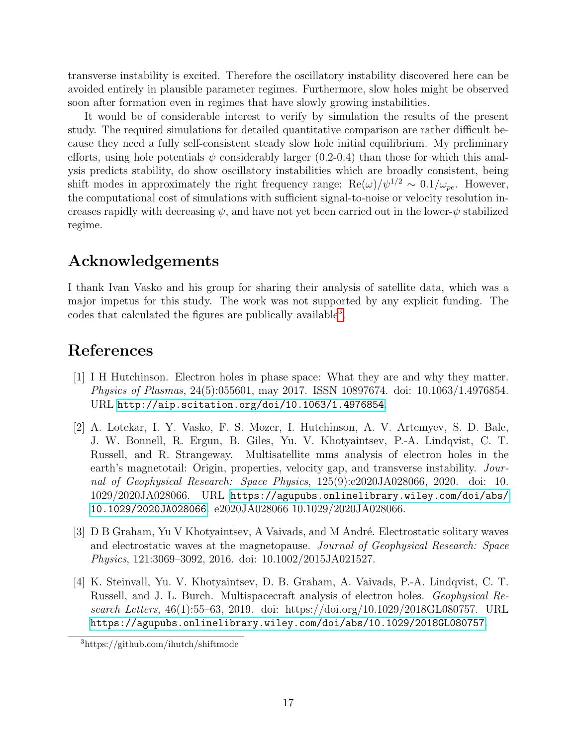transverse instability is excited. Therefore the oscillatory instability discovered here can be avoided entirely in plausible parameter regimes. Furthermore, slow holes might be observed soon after formation even in regimes that have slowly growing instabilities.

It would be of considerable interest to verify by simulation the results of the present study. The required simulations for detailed quantitative comparison are rather difficult because they need a fully self-consistent steady slow hole initial equilibrium. My preliminary efforts, using hole potentials  $\psi$  considerably larger (0.2-0.4) than those for which this analysis predicts stability, do show oscillatory instabilities which are broadly consistent, being shift modes in approximately the right frequency range:  $\text{Re}(\omega)/\psi^{1/2} \sim 0.1/\omega_{pe}$ . However, the computational cost of simulations with sufficient signal-to-noise or velocity resolution increases rapidly with decreasing  $\psi$ , and have not yet been carried out in the lower- $\psi$  stabilized regime.

# Acknowledgements

I thank Ivan Vasko and his group for sharing their analysis of satellite data, which was a major impetus for this study. The work was not supported by any explicit funding. The codes that calculated the figures are publically available<sup>[3](#page-16-2)</sup>.

# References

- <span id="page-16-0"></span>[1] I H Hutchinson. Electron holes in phase space: What they are and why they matter. Physics of Plasmas, 24(5):055601, may 2017. ISSN 10897674. doi: 10.1063/1.4976854. URL <http://aip.scitation.org/doi/10.1063/1.4976854>.
- <span id="page-16-1"></span>[2] A. Lotekar, I. Y. Vasko, F. S. Mozer, I. Hutchinson, A. V. Artemyev, S. D. Bale, J. W. Bonnell, R. Ergun, B. Giles, Yu. V. Khotyaintsev, P.-A. Lindqvist, C. T. Russell, and R. Strangeway. Multisatellite mms analysis of electron holes in the earth's magnetotail: Origin, properties, velocity gap, and transverse instability. Journal of Geophysical Research: Space Physics, 125(9):e2020JA028066, 2020. doi: 10. 1029/2020JA028066. URL [https://agupubs.onlinelibrary.wiley.com/doi/abs/](https://agupubs.onlinelibrary.wiley.com/doi/abs/10.1029/2020JA028066) [10.1029/2020JA028066](https://agupubs.onlinelibrary.wiley.com/doi/abs/10.1029/2020JA028066). e2020JA028066 10.1029/2020JA028066.
- [3] D B Graham, Yu V Khotyaintsev, A Vaivads, and M André. Electrostatic solitary waves and electrostatic waves at the magnetopause. Journal of Geophysical Research: Space Physics, 121:3069–3092, 2016. doi: 10.1002/2015JA021527.
- [4] K. Steinvall, Yu. V. Khotyaintsev, D. B. Graham, A. Vaivads, P.-A. Lindqvist, C. T. Russell, and J. L. Burch. Multispacecraft analysis of electron holes. Geophysical Research Letters, 46(1):55–63, 2019. doi: https://doi.org/10.1029/2018GL080757. URL <https://agupubs.onlinelibrary.wiley.com/doi/abs/10.1029/2018GL080757>.

<span id="page-16-2"></span><sup>3</sup>https://github.com/ihutch/shiftmode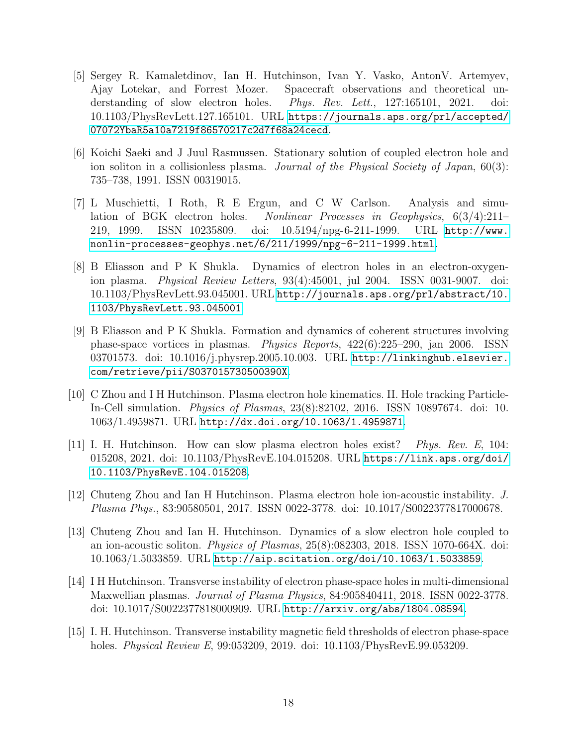- <span id="page-17-0"></span>[5] Sergey R. Kamaletdinov, Ian H. Hutchinson, Ivan Y. Vasko, AntonV. Artemyev, Ajay Lotekar, and Forrest Mozer. Spacecraft observations and theoretical understanding of slow electron holes. Phys. Rev. Lett., 127:165101, 2021. doi: 10.1103/PhysRevLett.127.165101. URL [https://journals.aps.org/prl/accepted/](https://journals.aps.org/prl/accepted/07072YbaR5a10a7219f86570217c2d7f68a24cecd) [07072YbaR5a10a7219f86570217c2d7f68a24cecd](https://journals.aps.org/prl/accepted/07072YbaR5a10a7219f86570217c2d7f68a24cecd).
- <span id="page-17-1"></span>[6] Koichi Saeki and J Juul Rasmussen. Stationary solution of coupled electron hole and ion soliton in a collisionless plasma. *Journal of the Physical Society of Japan*, 60(3): 735–738, 1991. ISSN 00319015.
- [7] L Muschietti, I Roth, R E Ergun, and C W Carlson. Analysis and simulation of BGK electron holes. Nonlinear Processes in Geophysics, 6(3/4):211– 219, 1999. ISSN 10235809. doi: 10.5194/npg-6-211-1999. URL [http://www.](http://www.nonlin-processes-geophys.net/6/211/1999/npg-6-211-1999.html) [nonlin-processes-geophys.net/6/211/1999/npg-6-211-1999.html](http://www.nonlin-processes-geophys.net/6/211/1999/npg-6-211-1999.html).
- [8] B Eliasson and P K Shukla. Dynamics of electron holes in an electron-oxygenion plasma. Physical Review Letters, 93(4):45001, jul 2004. ISSN 0031-9007. doi: 10.1103/PhysRevLett.93.045001. URL [http://journals.aps.org/prl/abstract/10.](http://journals.aps.org/prl/abstract/10.1103/PhysRevLett.93.045001) [1103/PhysRevLett.93.045001](http://journals.aps.org/prl/abstract/10.1103/PhysRevLett.93.045001).
- [9] B Eliasson and P K Shukla. Formation and dynamics of coherent structures involving phase-space vortices in plasmas. Physics Reports, 422(6):225–290, jan 2006. ISSN 03701573. doi: 10.1016/j.physrep.2005.10.003. URL [http://linkinghub.elsevier.](http://linkinghub.elsevier.com/retrieve/pii/S037015730500390X) [com/retrieve/pii/S037015730500390X](http://linkinghub.elsevier.com/retrieve/pii/S037015730500390X).
- <span id="page-17-2"></span>[10] C Zhou and I H Hutchinson. Plasma electron hole kinematics. II. Hole tracking Particle-In-Cell simulation. Physics of Plasmas, 23(8):82102, 2016. ISSN 10897674. doi: 10. 1063/1.4959871. URL <http://dx.doi.org/10.1063/1.4959871>.
- <span id="page-17-3"></span>[11] I. H. Hutchinson. How can slow plasma electron holes exist? Phys. Rev. E, 104: 015208, 2021. doi: 10.1103/PhysRevE.104.015208. URL [https://link.aps.org/doi/](https://link.aps.org/doi/10.1103/PhysRevE.104.015208) [10.1103/PhysRevE.104.015208](https://link.aps.org/doi/10.1103/PhysRevE.104.015208).
- <span id="page-17-4"></span>[12] Chuteng Zhou and Ian H Hutchinson. Plasma electron hole ion-acoustic instability. J. Plasma Phys., 83:90580501, 2017. ISSN 0022-3778. doi: 10.1017/S0022377817000678.
- <span id="page-17-5"></span>[13] Chuteng Zhou and Ian H. Hutchinson. Dynamics of a slow electron hole coupled to an ion-acoustic soliton. Physics of Plasmas, 25(8):082303, 2018. ISSN 1070-664X. doi: 10.1063/1.5033859. URL <http://aip.scitation.org/doi/10.1063/1.5033859>.
- <span id="page-17-6"></span>[14] I H Hutchinson. Transverse instability of electron phase-space holes in multi-dimensional Maxwellian plasmas. Journal of Plasma Physics, 84:905840411, 2018. ISSN 0022-3778. doi: 10.1017/S0022377818000909. URL <http://arxiv.org/abs/1804.08594>.
- <span id="page-17-7"></span>[15] I. H. Hutchinson. Transverse instability magnetic field thresholds of electron phase-space holes. *Physical Review E*, 99:053209, 2019. doi: 10.1103/PhysRevE.99.053209.